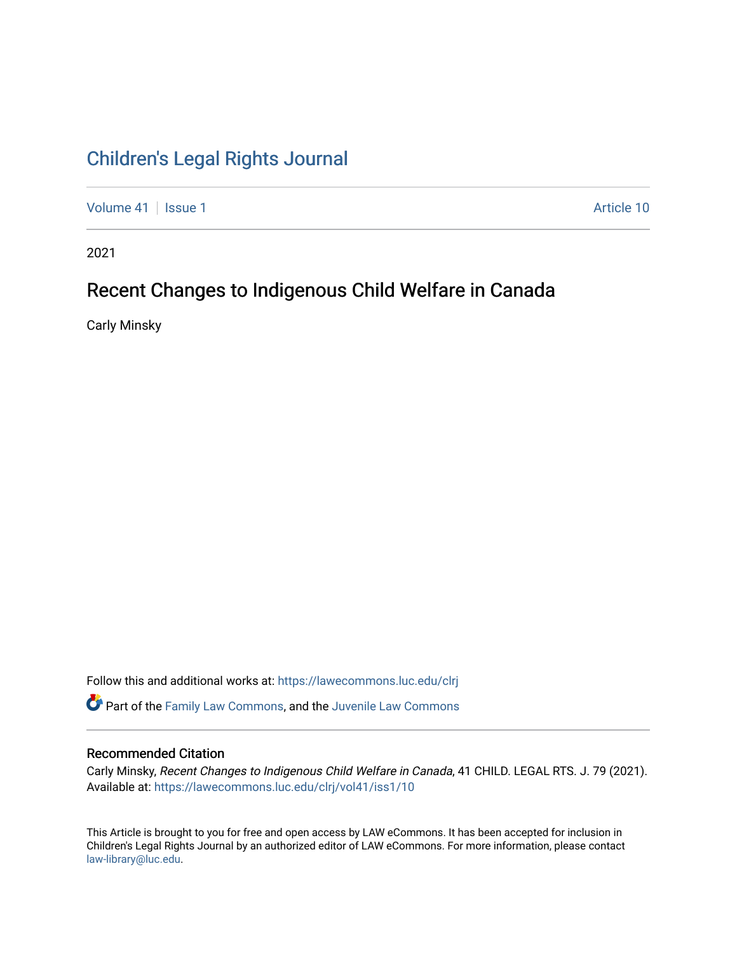# [Children's Legal Rights Journal](https://lawecommons.luc.edu/clrj)

[Volume 41](https://lawecommons.luc.edu/clrj/vol41) | [Issue 1](https://lawecommons.luc.edu/clrj/vol41/iss1) Article 10

2021

# Recent Changes to Indigenous Child Welfare in Canada

Carly Minsky

Follow this and additional works at: [https://lawecommons.luc.edu/clrj](https://lawecommons.luc.edu/clrj?utm_source=lawecommons.luc.edu%2Fclrj%2Fvol41%2Fiss1%2F10&utm_medium=PDF&utm_campaign=PDFCoverPages)

Part of the [Family Law Commons,](http://network.bepress.com/hgg/discipline/602?utm_source=lawecommons.luc.edu%2Fclrj%2Fvol41%2Fiss1%2F10&utm_medium=PDF&utm_campaign=PDFCoverPages) and the [Juvenile Law Commons](http://network.bepress.com/hgg/discipline/851?utm_source=lawecommons.luc.edu%2Fclrj%2Fvol41%2Fiss1%2F10&utm_medium=PDF&utm_campaign=PDFCoverPages) 

#### Recommended Citation

Carly Minsky, Recent Changes to Indigenous Child Welfare in Canada, 41 CHILD. LEGAL RTS. J. 79 (2021). Available at: [https://lawecommons.luc.edu/clrj/vol41/iss1/10](https://lawecommons.luc.edu/clrj/vol41/iss1/10?utm_source=lawecommons.luc.edu%2Fclrj%2Fvol41%2Fiss1%2F10&utm_medium=PDF&utm_campaign=PDFCoverPages) 

This Article is brought to you for free and open access by LAW eCommons. It has been accepted for inclusion in Children's Legal Rights Journal by an authorized editor of LAW eCommons. For more information, please contact [law-library@luc.edu](mailto:law-library@luc.edu).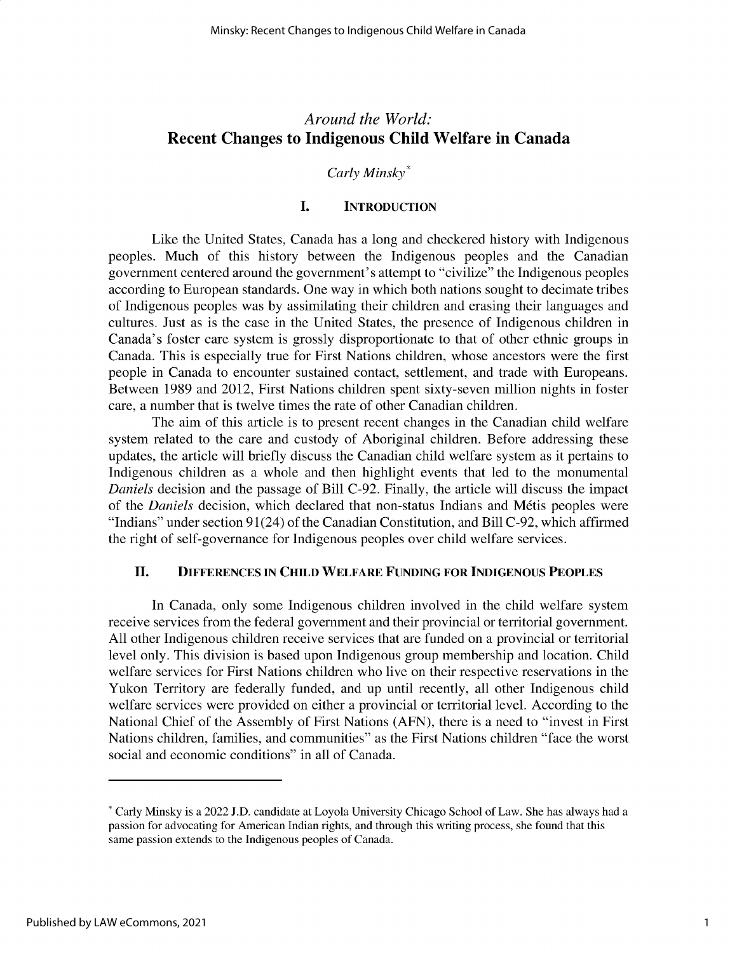## *Around the World:* **Recent Changes to Indigenous Child Welfare in Canada**

## *Carly Minsky\**

## **I. INTRODUCTION**

Like the United States, Canada has a long and checkered history with Indigenous peoples. Much of this history between the Indigenous peoples and the Canadian government centered around the government's attempt to "civilize" the Indigenous peoples according to European standards. One way in which both nations sought to decimate tribes of Indigenous peoples was by assimilating their children and erasing their languages and cultures. Just as is the case in the United States, the presence of Indigenous children in Canada's foster care system is grossly disproportionate to that of other ethnic groups in Canada. This is especially true for First Nations children, whose ancestors were the first people in Canada to encounter sustained contact, settlement, and trade with Europeans. Between 1989 and 2012, First Nations children spent sixty-seven million nights in foster care, a number that is twelve times the rate of other Canadian children.

The aim of this article is to present recent changes in the Canadian child welfare system related to the care and custody of Aboriginal children. Before addressing these updates, the article will briefly discuss the Canadian child welfare system as it pertains to Indigenous children as a whole and then highlight events that led to the monumental *Daniels* decision and the passage of Bill C-92. Finally, the article will discuss the impact of the *Daniels* decision, which declared that non-status Indians and Métis peoples were "Indians" under section 91(24) of the Canadian Constitution, and Bill C-92, which affirmed the right of self-governance for Indigenous peoples over child welfare services.

## **II. DIFFERENCES IN CHILD WELFARE FUNDING FOR INDIGENOUS PEOPLES**

In Canada, only some Indigenous children involved in the child welfare system receive services from the federal government and their provincial or territorial government. All other Indigenous children receive services that are funded on a provincial or territorial level only. This division is based upon Indigenous group membership and location. Child welfare services for First Nations children who live on their respective reservations in the Yukon Territory are federally funded, and up until recently, all other Indigenous child welfare services were provided on either a provincial or territorial level. According to the National Chief of the Assembly of First Nations (AFN), there is a need to "invest in First Nations children, families, and communities" as the First Nations children "face the worst social and economic conditions" in all of Canada.

<sup>\*</sup> Carly Minsky is a 2022 **J.D.** candidate at Loyola University Chicago School of Law. She has always had a passion for advocating for American Indian rights, and through this writing process, she found that this same passion extends to the Indigenous peoples of Canada.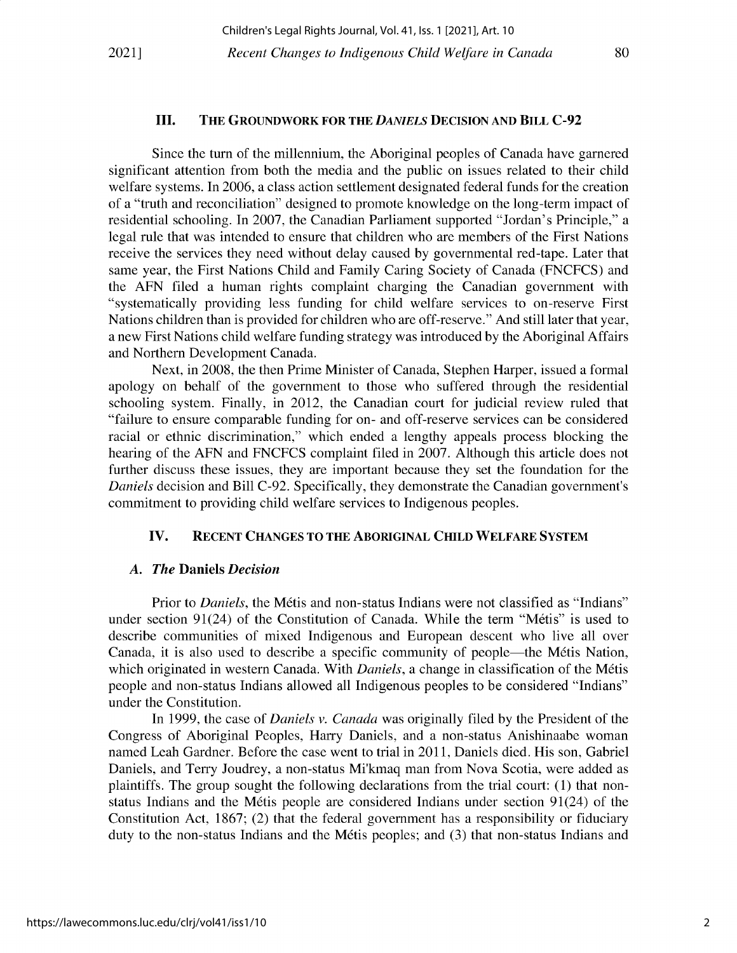#### **III. THE GROUNDWORK FOR THE** *DANIELS* **DECISION AND BILL C-92**

Since the turn of the millennium, the Aboriginal peoples of Canada have garnered significant attention from both the media and the public on issues related to their child welfare systems. In 2006, a class action settlement designated federal funds for the creation of a "truth and reconciliation" designed to promote knowledge on the long-term impact of residential schooling. In 2007, the Canadian Parliament supported "Jordan's Principle," a legal rule that was intended to ensure that children who are members of the First Nations receive the services they need without delay caused by governmental red-tape. Later that same year, the First Nations Child and Family Caring Society of Canada (FNCFCS) and the AFN filed a human rights complaint charging the Canadian government with "systematically providing less funding for child welfare services to on-reserve First Nations children than is provided for children who are off-reserve." And still later that year, a new First Nations child welfare funding strategy was introduced by the Aboriginal Affairs and Northern Development Canada.

Next, in 2008, the then Prime Minister of Canada, Stephen Harper, issued a formal apology on behalf of the government to those who suffered through the residential schooling system. Finally, in 2012, the Canadian court for judicial review ruled that "failure to ensure comparable funding for on- and off-reserve services can be considered racial or ethnic discrimination," which ended a lengthy appeals process blocking the hearing of the AFN and FNCFCS complaint filed in 2007. Although this article does not further discuss these issues, they are important because they set the foundation for the *Daniels* decision and Bill C-92. Specifically, they demonstrate the Canadian government's commitment to providing child welfare services to Indigenous peoples.

#### **IV. RECENT** CHANGES **TO THE ABORIGINAL CHILD WELFARE SYSTEM**

#### *A. The* **Daniels** *Decision*

Prior to *Daniels*, the Métis and non-status Indians were not classified as "Indians" under section 91(24) of the Constitution of Canada. While the term "Metis" is used to describe communities of mixed Indigenous and European descent who live all over Canada, it is also used to describe a specific community of people—the Métis Nation, which originated in western Canada. With *Daniels*, a change in classification of the Métis people and non-status Indians allowed all Indigenous peoples to be considered "Indians" under the Constitution.

In 1999, the case of *Daniels v. Canada* was originally filed by the President of the Congress of Aboriginal Peoples, Harry Daniels, and a non-status Anishinaabe woman named Leah Gardner. Before the case went to trial in 2011, Daniels died. His son, Gabriel Daniels, and Terry Joudrey, a non-status Mi'kmaq man from Nova Scotia, were added as plaintiffs. The group sought the following declarations from the trial court: (1) that nonstatus Indians and the M6tis people are considered Indians under section 91(24) of the Constitution Act, 1867; (2) that the federal government has a responsibility or fiduciary duty to the non-status Indians and the Métis peoples; and (3) that non-status Indians and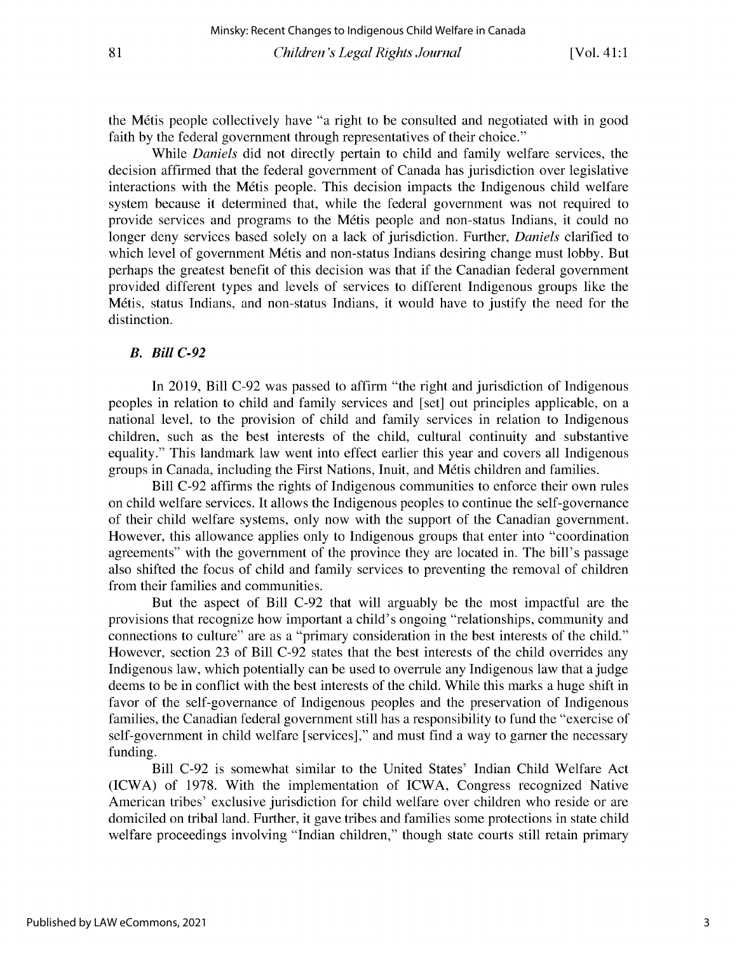the M6tis people collectively have "a right to be consulted and negotiated with in good **faith by the federal government through representatives of their choice."**

While *Daniels* did not directly pertain to child and family welfare services, the **decision affirmed that the federal government of Canada has jurisdiction over legislative interactions with the M6tis people. This decision impacts the Indigenous child welfare system because it determined that, while the federal government was not required to provide services and programs to the M6tis people and non-status Indians, it could no** longer deny services based solely on a lack of jurisdiction. Further, *Daniels* clarified to which level of government Métis and non-status Indians desiring change must lobby. But **perhaps the greatest benefit of this decision was that if the Canadian federal government** provided different types and levels of services to different Indigenous groups like the **M6tis, status Indians, and non-status Indians, it would have to justify the need for the distinction.**

### *B. Bill C-92*

**In 2019, Bill C-92 was passed to affirm "the right and jurisdiction of Indigenous peoples in relation to child and family services and [set] out principles applicable, on a national level, to the provision of child and family services in relation to Indigenous** children, such as the best interests of the child, cultural continuity and substantive **equality." This landmark law went into effect earlier this year and covers all Indigenous groups in Canada, including the First Nations, Inuit, and M6tis children and families.**

**Bill C-92 affirms the rights of Indigenous communities to enforce their own rules on child welfare services. It allows the Indigenous peoples to continue the self-governance** of their child welfare systems, only now with the support of the Canadian government. **However, this allowance applies only to Indigenous groups that enter into "coordination** agreements" with the government of the province they are located in. The bill's passage also shifted the focus of child and family services to preventing the removal of children **from their families and communities.**

But the aspect of Bill C-92 that will arguably be the most impactful are the **provisions that recognize how important a child's ongoing "relationships, community and connections to culture" are as a "primary consideration in the best interests of the child."** However, section 23 of Bill C-92 states that the best interests of the child overrides any **Indigenous law, which potentially can be used to overrule any Indigenous law that a judge** deems to be in conflict with the best interests of the child. While this marks a huge shift in **favor of the self-governance of Indigenous peoples and the preservation of Indigenous families, the Canadian federal government still has a responsibility to fund the "exercise of** self-government in child welfare [services]," and must find a way to garner the necessary **funding.**

Bill C-92 is somewhat similar to the United States' Indian Child Welfare Act (ICWA) of 1978. With the implementation of ICWA, Congress recognized Native **American tribes' exclusive jurisdiction for child welfare over children who reside or are domiciled on tribal land. Further, it gave tribes and families some protections in state child welfare proceedings involving "Indian children," though state courts still retain primary**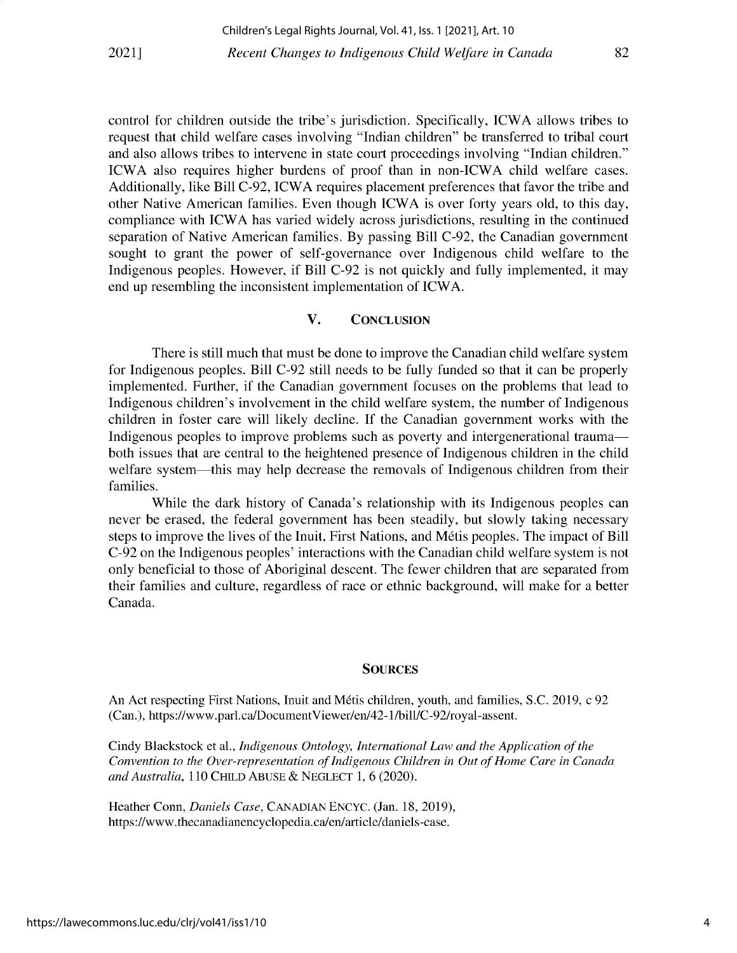control for children outside the tribe's jurisdiction. Specifically, ICWA allows tribes to **request that child welfare cases involving "Indian children" be transferred to tribal court and also allows tribes to intervene in state court proceedings involving "Indian children."** ICWA also requires higher burdens of proof than in non-ICWA child welfare cases. **Additionally, like Bill C-92, ICWA requires placement preferences that favor the tribe and** other Native American families. Even though ICWA is over forty years old, to this day, **compliance with ICWA has varied widely across jurisdictions, resulting in the continued separation of Native American families. By passing Bill C-92, the Canadian government sought to grant the power of self-governance over Indigenous child welfare to the** Indigenous peoples. However, if Bill C-92 is not quickly and fully implemented, it may **end up resembling the inconsistent implementation** of ICWA.

## **V. CONCLUSION**

There is still much that must be done to improve the Canadian child welfare system for Indigenous peoples. Bill C-92 still needs to be fully funded so that it can be properly **implemented. Further, if the Canadian government focuses on the problems that lead to Indigenous children's involvement in the child welfare system, the number of Indigenous** children in foster care will likely decline. If the Canadian government works with the **Indigenous peoples to improve problems such as poverty and intergenerational trauma both issues that are central to the heightened presence of Indigenous children in the child** welfare system-this may help decrease the removals of Indigenous children from their **families.**

**While the dark history of Canada's relationship with its Indigenous peoples can** never be erased, the federal government has been steadily, but slowly taking necessary steps to improve the lives of the Inuit, First Nations, and Métis peoples. The impact of Bill **C-92 on the Indigenous peoples' interactions with the Canadian child welfare system is not only beneficial to those of Aboriginal descent. The fewer children that are separated from their families and culture, regardless of race or ethnic background, will make for a better** Canada.

#### **SOURCES**

**An Act respecting First Nations, Inuit and Mdtis children, youth, and families, S.C. 2019, c 92** (Can.), https://www.parl.ca/DocumentViewer/en/42-1/bill/C-92/royal-assent.

Cindy Blackstock et al., *Indigenous Ontology, International Law and the Application of the Convention to the Over-representation of Indigenous Children in Out of Home Care in Canada and Australia,* 110 CHILD ABUSE & **NEGLECT** 1, 6 (2020).

Heather Conn, *Daniels Case,* **CANADIAN ENCYC.** (Jan. 18, 2019), https://www.thecanadianencyclopedia.ca/en/article/daniels-case.